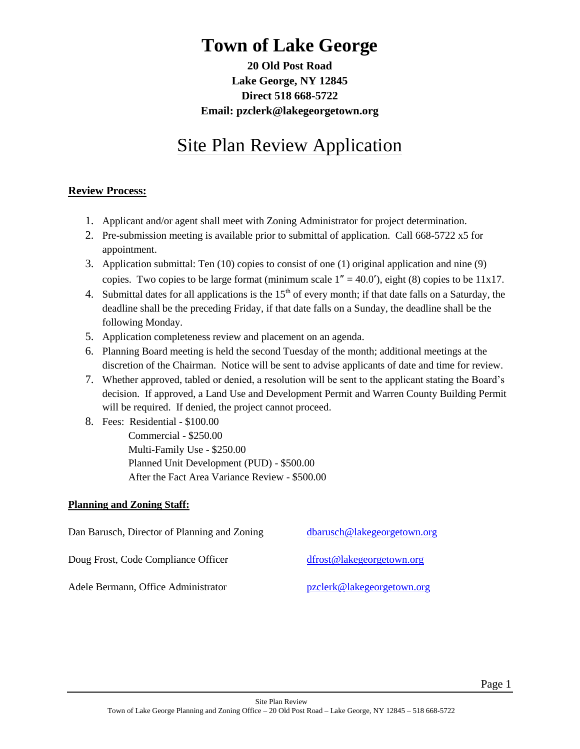# **Town of Lake George**

**20 Old Post Road Lake George, NY 12845 Direct 518 668-5722 Email: pzclerk@lakegeorgetown.org**

# Site Plan Review Application

#### **Review Process:**

- 1. Applicant and/or agent shall meet with Zoning Administrator for project determination.
- 2. Pre-submission meeting is available prior to submittal of application. Call 668-5722 x5 for appointment.
- 3. Application submittal: Ten (10) copies to consist of one (1) original application and nine (9) copies. Two copies to be large format (minimum scale 1**"** = 40.0**'**), eight (8) copies to be 11x17.
- 4. Submittal dates for all applications is the  $15<sup>th</sup>$  of every month; if that date falls on a Saturday, the deadline shall be the preceding Friday, if that date falls on a Sunday, the deadline shall be the following Monday.
- 5. Application completeness review and placement on an agenda.
- 6. Planning Board meeting is held the second Tuesday of the month; additional meetings at the discretion of the Chairman. Notice will be sent to advise applicants of date and time for review.
- 7. Whether approved, tabled or denied, a resolution will be sent to the applicant stating the Board's decision. If approved, a Land Use and Development Permit and Warren County Building Permit will be required. If denied, the project cannot proceed.
- 8. Fees: Residential \$100.00 Commercial - \$250.00 Multi-Family Use - \$250.00 Planned Unit Development (PUD) - \$500.00 After the Fact Area Variance Review - \$500.00

#### **Planning and Zoning Staff:**

| Dan Barusch, Director of Planning and Zoning | dbarusch@lakegeorgetown.org |
|----------------------------------------------|-----------------------------|
| Doug Frost, Code Compliance Officer          | dfrost@lakegeorgetown.org   |
| Adele Bermann, Office Administrator          | pzclerk@lakegeorgetown.org  |

Page 1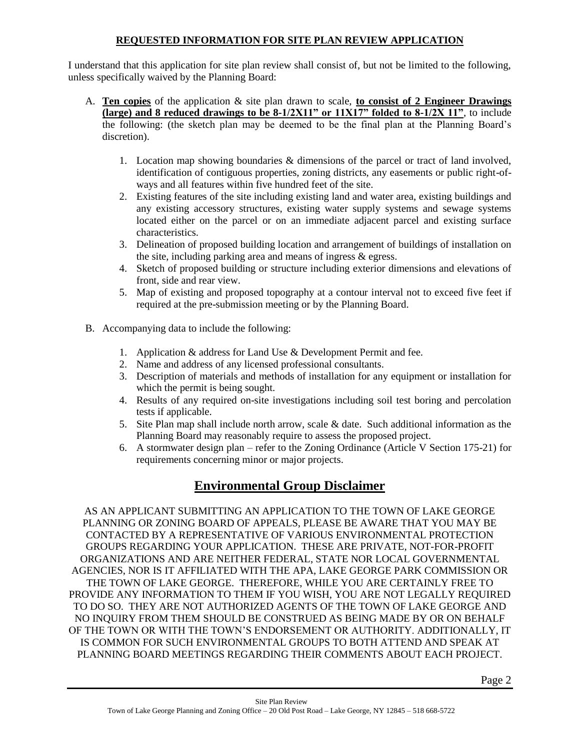#### **REQUESTED INFORMATION FOR SITE PLAN REVIEW APPLICATION**

I understand that this application for site plan review shall consist of, but not be limited to the following, unless specifically waived by the Planning Board:

- A. **Ten copies** of the application & site plan drawn to scale, **to consist of 2 Engineer Drawings (large) and 8 reduced drawings to be 8-1/2X11" or 11X17" folded to 8-1/2X 11"**, to include the following: (the sketch plan may be deemed to be the final plan at the Planning Board's discretion).
	- 1. Location map showing boundaries & dimensions of the parcel or tract of land involved, identification of contiguous properties, zoning districts, any easements or public right-ofways and all features within five hundred feet of the site.
	- 2. Existing features of the site including existing land and water area, existing buildings and any existing accessory structures, existing water supply systems and sewage systems located either on the parcel or on an immediate adjacent parcel and existing surface characteristics.
	- 3. Delineation of proposed building location and arrangement of buildings of installation on the site, including parking area and means of ingress & egress.
	- 4. Sketch of proposed building or structure including exterior dimensions and elevations of front, side and rear view.
	- 5. Map of existing and proposed topography at a contour interval not to exceed five feet if required at the pre-submission meeting or by the Planning Board.
- B. Accompanying data to include the following:
	- 1. Application & address for Land Use & Development Permit and fee.
	- 2. Name and address of any licensed professional consultants.
	- 3. Description of materials and methods of installation for any equipment or installation for which the permit is being sought.
	- 4. Results of any required on-site investigations including soil test boring and percolation tests if applicable.
	- 5. Site Plan map shall include north arrow, scale & date. Such additional information as the Planning Board may reasonably require to assess the proposed project.
	- 6. A stormwater design plan refer to the Zoning Ordinance (Article V Section 175-21) for requirements concerning minor or major projects.

## **Environmental Group Disclaimer**

AS AN APPLICANT SUBMITTING AN APPLICATION TO THE TOWN OF LAKE GEORGE PLANNING OR ZONING BOARD OF APPEALS, PLEASE BE AWARE THAT YOU MAY BE CONTACTED BY A REPRESENTATIVE OF VARIOUS ENVIRONMENTAL PROTECTION GROUPS REGARDING YOUR APPLICATION. THESE ARE PRIVATE, NOT-FOR-PROFIT ORGANIZATIONS AND ARE NEITHER FEDERAL, STATE NOR LOCAL GOVERNMENTAL AGENCIES, NOR IS IT AFFILIATED WITH THE APA, LAKE GEORGE PARK COMMISSION OR THE TOWN OF LAKE GEORGE. THEREFORE, WHILE YOU ARE CERTAINLY FREE TO PROVIDE ANY INFORMATION TO THEM IF YOU WISH, YOU ARE NOT LEGALLY REQUIRED TO DO SO. THEY ARE NOT AUTHORIZED AGENTS OF THE TOWN OF LAKE GEORGE AND NO INQUIRY FROM THEM SHOULD BE CONSTRUED AS BEING MADE BY OR ON BEHALF OF THE TOWN OR WITH THE TOWN'S ENDORSEMENT OR AUTHORITY. ADDITIONALLY, IT IS COMMON FOR SUCH ENVIRONMENTAL GROUPS TO BOTH ATTEND AND SPEAK AT PLANNING BOARD MEETINGS REGARDING THEIR COMMENTS ABOUT EACH PROJECT.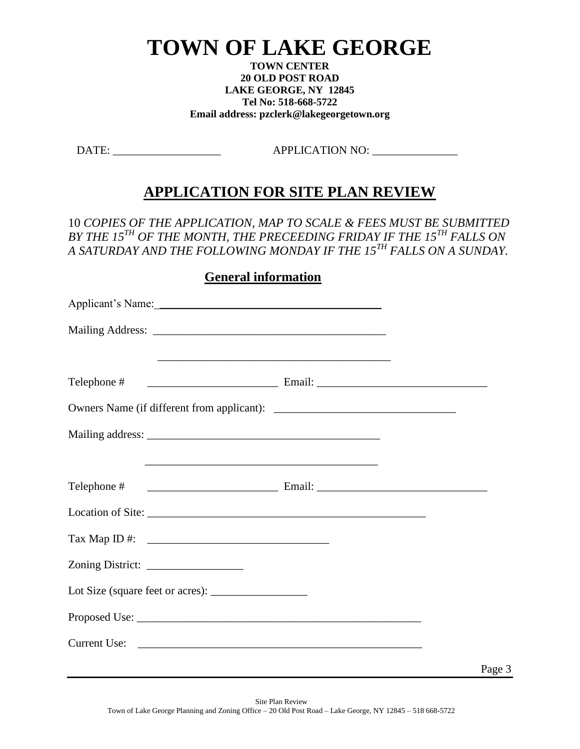# **TOWN OF LAKE GEORGE**

**TOWN CENTER 20 OLD POST ROAD LAKE GEORGE, NY 12845 Tel No: 518-668-5722 Email address: pzclerk@lakegeorgetown.org**

DATE: APPLICATION NO:

# **APPLICATION FOR SITE PLAN REVIEW**

10 *COPIES OF THE APPLICATION, MAP TO SCALE & FEES MUST BE SUBMITTED BY THE 15TH OF THE MONTH, THE PRECEEDING FRIDAY IF THE 15TH FALLS ON A SATURDAY AND THE FOLLOWING MONDAY IF THE 15TH FALLS ON A SUNDAY.*

### **General information**

| Applicant's Name: Name and Applicant and Applicant and Applicant and Applicant and Applicant and Applicant and Applicant and Applicant and Applicant and Applicant and Applicant and Applicant and Applicant and Applicant and |  |        |
|--------------------------------------------------------------------------------------------------------------------------------------------------------------------------------------------------------------------------------|--|--------|
|                                                                                                                                                                                                                                |  |        |
|                                                                                                                                                                                                                                |  |        |
|                                                                                                                                                                                                                                |  |        |
|                                                                                                                                                                                                                                |  |        |
|                                                                                                                                                                                                                                |  |        |
|                                                                                                                                                                                                                                |  |        |
|                                                                                                                                                                                                                                |  |        |
|                                                                                                                                                                                                                                |  |        |
|                                                                                                                                                                                                                                |  |        |
|                                                                                                                                                                                                                                |  |        |
|                                                                                                                                                                                                                                |  |        |
|                                                                                                                                                                                                                                |  | Page 3 |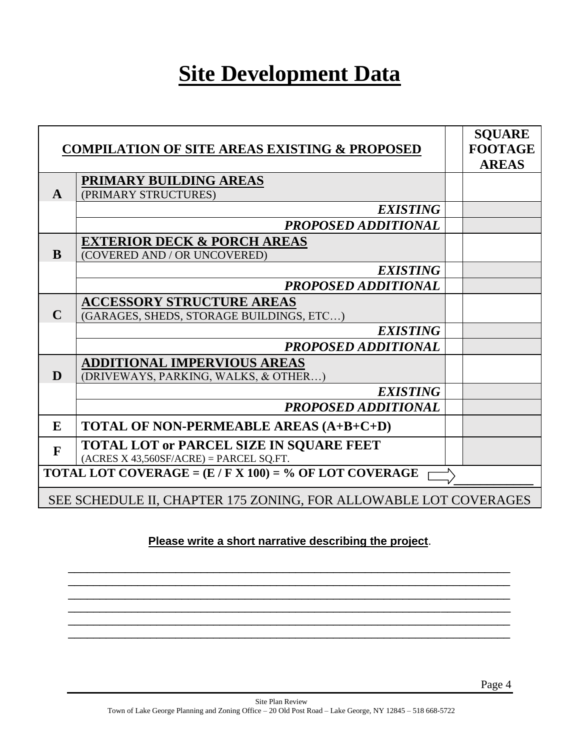# **Site Development Data**

|              | <b>COMPILATION OF SITE AREAS EXISTING &amp; PROPOSED</b>                                  | <b>SQUARE</b><br><b>FOOTAGE</b><br><b>AREAS</b> |
|--------------|-------------------------------------------------------------------------------------------|-------------------------------------------------|
| A            | PRIMARY BUILDING AREAS<br>(PRIMARY STRUCTURES)                                            |                                                 |
|              | <b>EXISTING</b>                                                                           |                                                 |
|              | PROPOSED ADDITIONAL                                                                       |                                                 |
| <sub>R</sub> | <b>EXTERIOR DECK &amp; PORCH AREAS</b><br>(COVERED AND / OR UNCOVERED)                    |                                                 |
|              | <b>EXISTING</b>                                                                           |                                                 |
|              | PROPOSED ADDITIONAL                                                                       |                                                 |
| $\mathbf C$  | <b>ACCESSORY STRUCTURE AREAS</b><br>(GARAGES, SHEDS, STORAGE BUILDINGS, ETC)              |                                                 |
|              | <b>EXISTING</b>                                                                           |                                                 |
|              | PROPOSED ADDITIONAL                                                                       |                                                 |
| D            | <b>ADDITIONAL IMPERVIOUS AREAS</b><br>(DRIVEWAYS, PARKING, WALKS, & OTHER)                |                                                 |
|              | <b>EXISTING</b>                                                                           |                                                 |
|              | PROPOSED ADDITIONAL                                                                       |                                                 |
| E            | TOTAL OF NON-PERMEABLE AREAS (A+B+C+D)                                                    |                                                 |
| $\mathbf{F}$ | <b>TOTAL LOT or PARCEL SIZE IN SQUARE FEET</b><br>$(ACRES X 43,560SF/ACRE) = PARCEL SQL.$ |                                                 |
|              | <b>TOTAL LOT COVERAGE = <math>(E / F X 100) = %</math> OF LOT COVERAGE</b>                |                                                 |
|              | SEE SCHEDULE II, CHAPTER 175 ZONING, FOR ALLOWABLE LOT COVERAGES                          |                                                 |

### **Please write a short narrative describing the project**.

\_\_\_\_\_\_\_\_\_\_\_\_\_\_\_\_\_\_\_\_\_\_\_\_\_\_\_\_\_\_\_\_\_\_\_\_\_\_\_\_\_\_\_\_\_\_\_\_\_\_\_\_\_\_\_\_\_\_\_\_\_\_\_\_\_\_\_\_\_\_ \_\_\_\_\_\_\_\_\_\_\_\_\_\_\_\_\_\_\_\_\_\_\_\_\_\_\_\_\_\_\_\_\_\_\_\_\_\_\_\_\_\_\_\_\_\_\_\_\_\_\_\_\_\_\_\_\_\_\_\_\_\_\_\_\_\_\_\_\_\_ \_\_\_\_\_\_\_\_\_\_\_\_\_\_\_\_\_\_\_\_\_\_\_\_\_\_\_\_\_\_\_\_\_\_\_\_\_\_\_\_\_\_\_\_\_\_\_\_\_\_\_\_\_\_\_\_\_\_\_\_\_\_\_\_\_\_\_\_\_\_ \_\_\_\_\_\_\_\_\_\_\_\_\_\_\_\_\_\_\_\_\_\_\_\_\_\_\_\_\_\_\_\_\_\_\_\_\_\_\_\_\_\_\_\_\_\_\_\_\_\_\_\_\_\_\_\_\_\_\_\_\_\_\_\_\_\_\_\_\_\_ \_\_\_\_\_\_\_\_\_\_\_\_\_\_\_\_\_\_\_\_\_\_\_\_\_\_\_\_\_\_\_\_\_\_\_\_\_\_\_\_\_\_\_\_\_\_\_\_\_\_\_\_\_\_\_\_\_\_\_\_\_\_\_\_\_\_\_\_\_\_ \_\_\_\_\_\_\_\_\_\_\_\_\_\_\_\_\_\_\_\_\_\_\_\_\_\_\_\_\_\_\_\_\_\_\_\_\_\_\_\_\_\_\_\_\_\_\_\_\_\_\_\_\_\_\_\_\_\_\_\_\_\_\_\_\_\_\_\_\_\_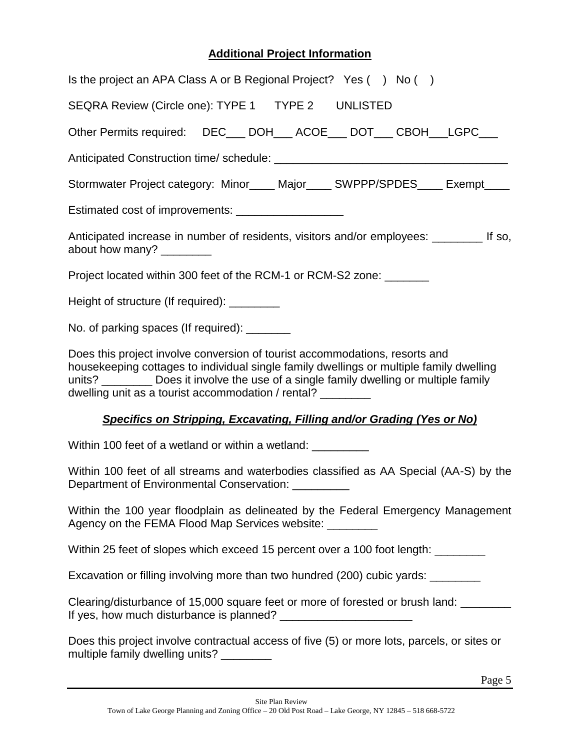## **Additional Project Information**

| Is the project an APA Class A or B Regional Project? Yes $( \ )$ No $( \ )$                                                                                                                                                                                                                                                      |  |  |
|----------------------------------------------------------------------------------------------------------------------------------------------------------------------------------------------------------------------------------------------------------------------------------------------------------------------------------|--|--|
| SEQRA Review (Circle one): TYPE 1  TYPE 2  UNLISTED                                                                                                                                                                                                                                                                              |  |  |
| Other Permits required:  DEC___ DOH___ ACOE___ DOT___ CBOH___LGPC___                                                                                                                                                                                                                                                             |  |  |
|                                                                                                                                                                                                                                                                                                                                  |  |  |
| Stormwater Project category: Minor____ Major____ SWPPP/SPDES____ Exempt____                                                                                                                                                                                                                                                      |  |  |
| Estimated cost of improvements: _____________________                                                                                                                                                                                                                                                                            |  |  |
| Anticipated increase in number of residents, visitors and/or employees: ________ If so,<br>about how many? _________                                                                                                                                                                                                             |  |  |
| Project located within 300 feet of the RCM-1 or RCM-S2 zone: _______                                                                                                                                                                                                                                                             |  |  |
| Height of structure (If required): _________                                                                                                                                                                                                                                                                                     |  |  |
| No. of parking spaces (If required): _______                                                                                                                                                                                                                                                                                     |  |  |
| Does this project involve conversion of tourist accommodations, resorts and<br>housekeeping cottages to individual single family dwellings or multiple family dwelling<br>units? _________ Does it involve the use of a single family dwelling or multiple family<br>dwelling unit as a tourist accommodation / rental? ________ |  |  |
| Specifics on Stripping, Excavating, Filling and/or Grading (Yes or No)                                                                                                                                                                                                                                                           |  |  |
| Within 100 feet of a wetland or within a wetland: ___________                                                                                                                                                                                                                                                                    |  |  |
| Within 100 feet of all streams and waterbodies classified as AA Special (AA-S) by the<br>Department of Environmental Conservation: _________                                                                                                                                                                                     |  |  |
| Within the 100 year floodplain as delineated by the Federal Emergency Management<br>Agency on the FEMA Flood Map Services website: ________                                                                                                                                                                                      |  |  |
| Within 25 feet of slopes which exceed 15 percent over a 100 foot length: _______                                                                                                                                                                                                                                                 |  |  |
| Excavation or filling involving more than two hundred (200) cubic yards: _______                                                                                                                                                                                                                                                 |  |  |
| Clearing/disturbance of 15,000 square feet or more of forested or brush land: _______                                                                                                                                                                                                                                            |  |  |
| Does this project involve contractual access of five (5) or more lots, parcels, or sites or<br>multiple family dwelling units? ________                                                                                                                                                                                          |  |  |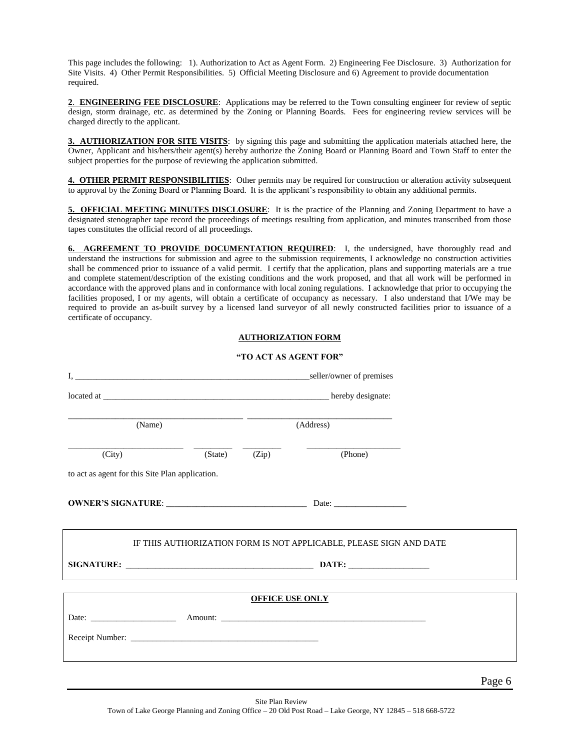This page includes the following: 1). Authorization to Act as Agent Form. 2) Engineering Fee Disclosure. 3) Authorization for Site Visits. 4) Other Permit Responsibilities. 5) Official Meeting Disclosure and 6) Agreement to provide documentation required.

**2**. **ENGINEERING FEE DISCLOSURE**: Applications may be referred to the Town consulting engineer for review of septic design, storm drainage, etc. as determined by the Zoning or Planning Boards. Fees for engineering review services will be charged directly to the applicant.

**3. AUTHORIZATION FOR SITE VISITS**: by signing this page and submitting the application materials attached here, the Owner, Applicant and his/hers/their agent(s) hereby authorize the Zoning Board or Planning Board and Town Staff to enter the subject properties for the purpose of reviewing the application submitted.

**4. OTHER PERMIT RESPONSIBILITIES**: Other permits may be required for construction or alteration activity subsequent to approval by the Zoning Board or Planning Board. It is the applicant's responsibility to obtain any additional permits.

**5. OFFICIAL MEETING MINUTES DISCLOSURE**: It is the practice of the Planning and Zoning Department to have a designated stenographer tape record the proceedings of meetings resulting from application, and minutes transcribed from those tapes constitutes the official record of all proceedings.

6. AGREEMENT TO PROVIDE DOCUMENTATION REQUIRED: I, the undersigned, have thoroughly read and understand the instructions for submission and agree to the submission requirements, I acknowledge no construction activities shall be commenced prior to issuance of a valid permit. I certify that the application, plans and supporting materials are a true and complete statement/description of the existing conditions and the work proposed, and that all work will be performed in accordance with the approved plans and in conformance with local zoning regulations. I acknowledge that prior to occupying the facilities proposed, I or my agents, will obtain a certificate of occupancy as necessary. I also understand that I/We may be required to provide an as-built survey by a licensed land surveyor of all newly constructed facilities prior to issuance of a certificate of occupancy.

#### **AUTHORIZATION FORM**

#### **"TO ACT AS AGENT FOR"**

| (Name)                                                             |         | (Address) |         |  |
|--------------------------------------------------------------------|---------|-----------|---------|--|
| (City)                                                             | (State) | (Zip)     | (Phone) |  |
| to act as agent for this Site Plan application.                    |         |           |         |  |
|                                                                    |         |           |         |  |
| IF THIS AUTHORIZATION FORM IS NOT APPLICABLE, PLEASE SIGN AND DATE |         |           |         |  |
|                                                                    |         |           |         |  |
| <b>OFFICE USE ONLY</b>                                             |         |           |         |  |
|                                                                    |         |           |         |  |
|                                                                    |         |           |         |  |
|                                                                    |         |           |         |  |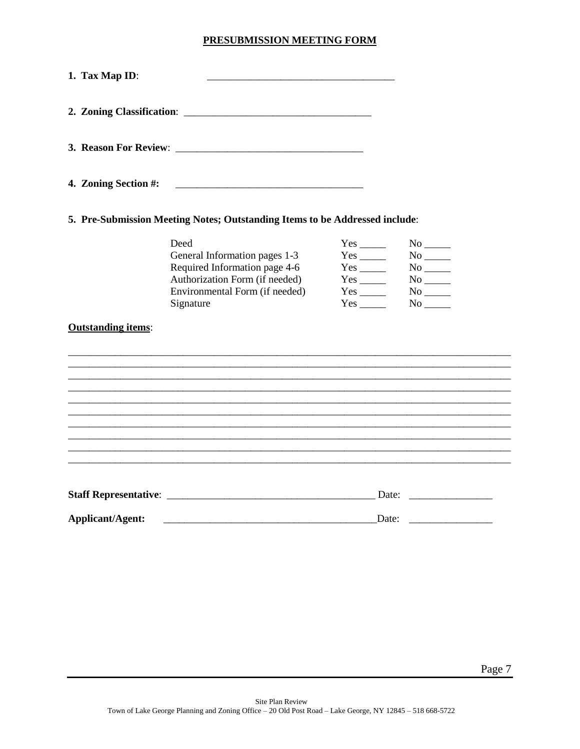#### PRESUBMISSION MEETING FORM

| 1. Tax Map ID:            |                                                                                                                                                         |                                                                                                         |                                                |
|---------------------------|---------------------------------------------------------------------------------------------------------------------------------------------------------|---------------------------------------------------------------------------------------------------------|------------------------------------------------|
|                           |                                                                                                                                                         |                                                                                                         |                                                |
|                           |                                                                                                                                                         |                                                                                                         |                                                |
| 4. Zoning Section #:      |                                                                                                                                                         |                                                                                                         |                                                |
|                           | 5. Pre-Submission Meeting Notes; Outstanding Items to be Addressed include:                                                                             |                                                                                                         |                                                |
| <b>Outstanding items:</b> | Deed<br>General Information pages 1-3<br>Required Information page 4-6<br>Authorization Form (if needed)<br>Environmental Form (if needed)<br>Signature | $Yes$ <sub>_____</sub><br>$Yes$ <sub>_____</sub><br>$Yes$ <sub>________</sub><br>$Yes$ <sub>_____</sub> | $No$ <sub>_____</sub><br>$No$ <sub>_____</sub> |
|                           |                                                                                                                                                         |                                                                                                         |                                                |
| <b>Applicant/Agent:</b>   |                                                                                                                                                         |                                                                                                         | Date: $\qquad \qquad$                          |